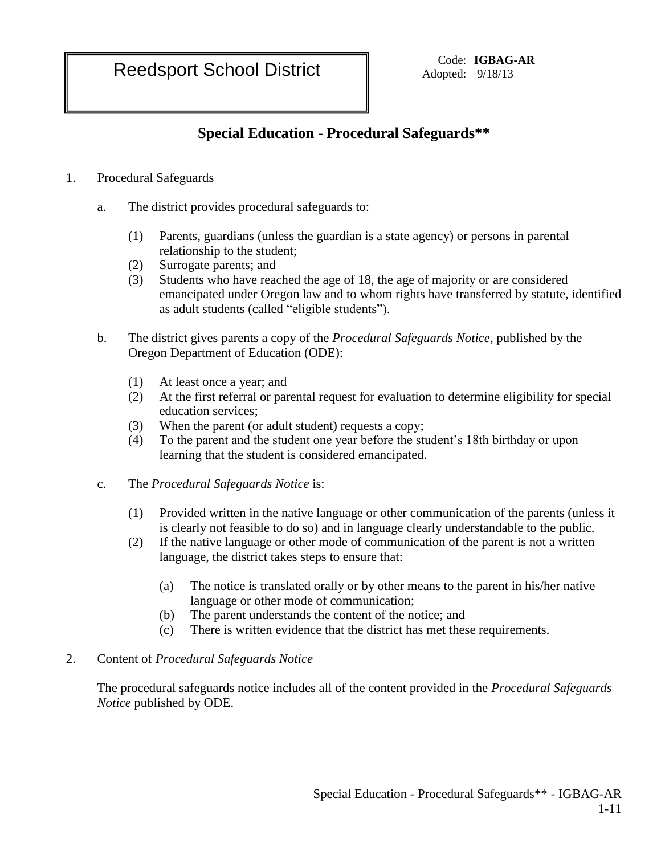Reedsport School District Code: IGBAG-AR

Adopted: 9/18/13

## **Special Education - Procedural Safeguards\*\***

- 1. Procedural Safeguards
	- a. The district provides procedural safeguards to:
		- (1) Parents, guardians (unless the guardian is a state agency) or persons in parental relationship to the student;
		- (2) Surrogate parents; and
		- (3) Students who have reached the age of 18, the age of majority or are considered emancipated under Oregon law and to whom rights have transferred by statute, identified as adult students (called "eligible students").
	- b. The district gives parents a copy of the *Procedural Safeguards Notice*, published by the Oregon Department of Education (ODE):
		- (1) At least once a year; and
		- (2) At the first referral or parental request for evaluation to determine eligibility for special education services;
		- (3) When the parent (or adult student) requests a copy;
		- (4) To the parent and the student one year before the student's 18th birthday or upon learning that the student is considered emancipated.
	- c. The *Procedural Safeguards Notice* is:
		- (1) Provided written in the native language or other communication of the parents (unless it is clearly not feasible to do so) and in language clearly understandable to the public.
		- (2) If the native language or other mode of communication of the parent is not a written language, the district takes steps to ensure that:
			- (a) The notice is translated orally or by other means to the parent in his/her native language or other mode of communication;
			- (b) The parent understands the content of the notice; and
			- (c) There is written evidence that the district has met these requirements.

## 2. Content of *Procedural Safeguards Notice*

The procedural safeguards notice includes all of the content provided in the *Procedural Safeguards Notice* published by ODE.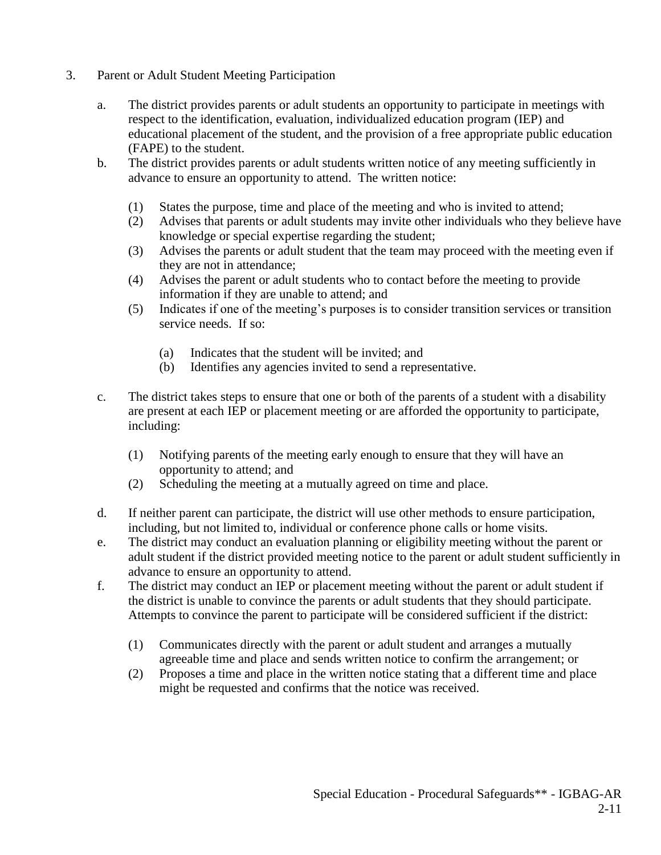- 3. Parent or Adult Student Meeting Participation
	- a. The district provides parents or adult students an opportunity to participate in meetings with respect to the identification, evaluation, individualized education program (IEP) and educational placement of the student, and the provision of a free appropriate public education (FAPE) to the student.
	- b. The district provides parents or adult students written notice of any meeting sufficiently in advance to ensure an opportunity to attend. The written notice:
		- (1) States the purpose, time and place of the meeting and who is invited to attend;
		- (2) Advises that parents or adult students may invite other individuals who they believe have knowledge or special expertise regarding the student;
		- (3) Advises the parents or adult student that the team may proceed with the meeting even if they are not in attendance;
		- (4) Advises the parent or adult students who to contact before the meeting to provide information if they are unable to attend; and
		- (5) Indicates if one of the meeting's purposes is to consider transition services or transition service needs. If so:
			- (a) Indicates that the student will be invited; and
			- (b) Identifies any agencies invited to send a representative.
	- c. The district takes steps to ensure that one or both of the parents of a student with a disability are present at each IEP or placement meeting or are afforded the opportunity to participate, including:
		- (1) Notifying parents of the meeting early enough to ensure that they will have an opportunity to attend; and
		- (2) Scheduling the meeting at a mutually agreed on time and place.
	- d. If neither parent can participate, the district will use other methods to ensure participation, including, but not limited to, individual or conference phone calls or home visits.
	- e. The district may conduct an evaluation planning or eligibility meeting without the parent or adult student if the district provided meeting notice to the parent or adult student sufficiently in advance to ensure an opportunity to attend.
	- f. The district may conduct an IEP or placement meeting without the parent or adult student if the district is unable to convince the parents or adult students that they should participate. Attempts to convince the parent to participate will be considered sufficient if the district:
		- (1) Communicates directly with the parent or adult student and arranges a mutually agreeable time and place and sends written notice to confirm the arrangement; or
		- (2) Proposes a time and place in the written notice stating that a different time and place might be requested and confirms that the notice was received.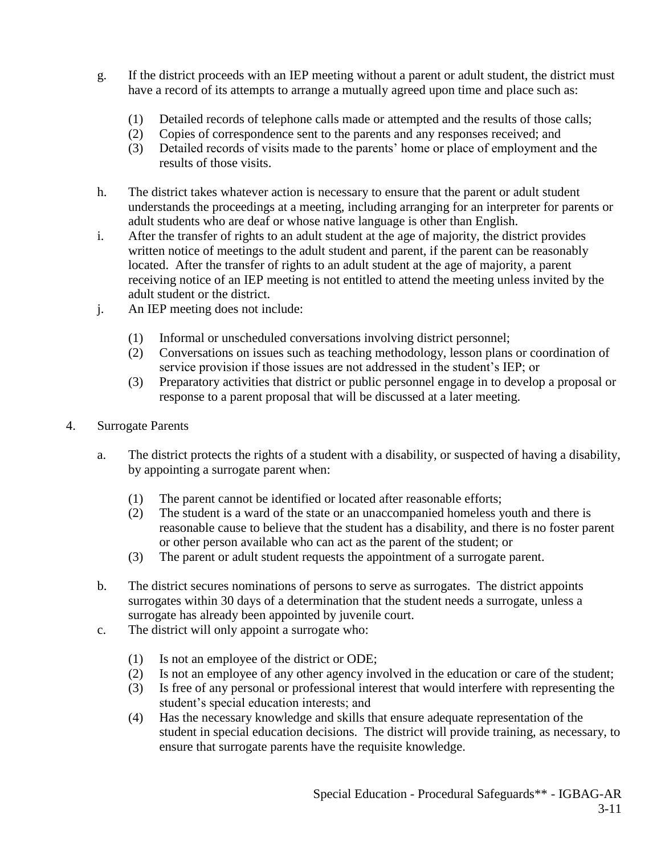- g. If the district proceeds with an IEP meeting without a parent or adult student, the district must have a record of its attempts to arrange a mutually agreed upon time and place such as:
	- (1) Detailed records of telephone calls made or attempted and the results of those calls;
	- (2) Copies of correspondence sent to the parents and any responses received; and
	- (3) Detailed records of visits made to the parents' home or place of employment and the results of those visits.
- h. The district takes whatever action is necessary to ensure that the parent or adult student understands the proceedings at a meeting, including arranging for an interpreter for parents or adult students who are deaf or whose native language is other than English.
- i. After the transfer of rights to an adult student at the age of majority, the district provides written notice of meetings to the adult student and parent, if the parent can be reasonably located. After the transfer of rights to an adult student at the age of majority, a parent receiving notice of an IEP meeting is not entitled to attend the meeting unless invited by the adult student or the district.
- j. An IEP meeting does not include:
	- (1) Informal or unscheduled conversations involving district personnel;
	- (2) Conversations on issues such as teaching methodology, lesson plans or coordination of service provision if those issues are not addressed in the student's IEP; or
	- (3) Preparatory activities that district or public personnel engage in to develop a proposal or response to a parent proposal that will be discussed at a later meeting.
- 4. Surrogate Parents
	- a. The district protects the rights of a student with a disability, or suspected of having a disability, by appointing a surrogate parent when:
		- (1) The parent cannot be identified or located after reasonable efforts;
		- (2) The student is a ward of the state or an unaccompanied homeless youth and there is reasonable cause to believe that the student has a disability, and there is no foster parent or other person available who can act as the parent of the student; or
		- (3) The parent or adult student requests the appointment of a surrogate parent.
	- b. The district secures nominations of persons to serve as surrogates. The district appoints surrogates within 30 days of a determination that the student needs a surrogate, unless a surrogate has already been appointed by juvenile court.
	- c. The district will only appoint a surrogate who:
		- (1) Is not an employee of the district or ODE;
		- (2) Is not an employee of any other agency involved in the education or care of the student;
		- (3) Is free of any personal or professional interest that would interfere with representing the student's special education interests; and
		- (4) Has the necessary knowledge and skills that ensure adequate representation of the student in special education decisions. The district will provide training, as necessary, to ensure that surrogate parents have the requisite knowledge.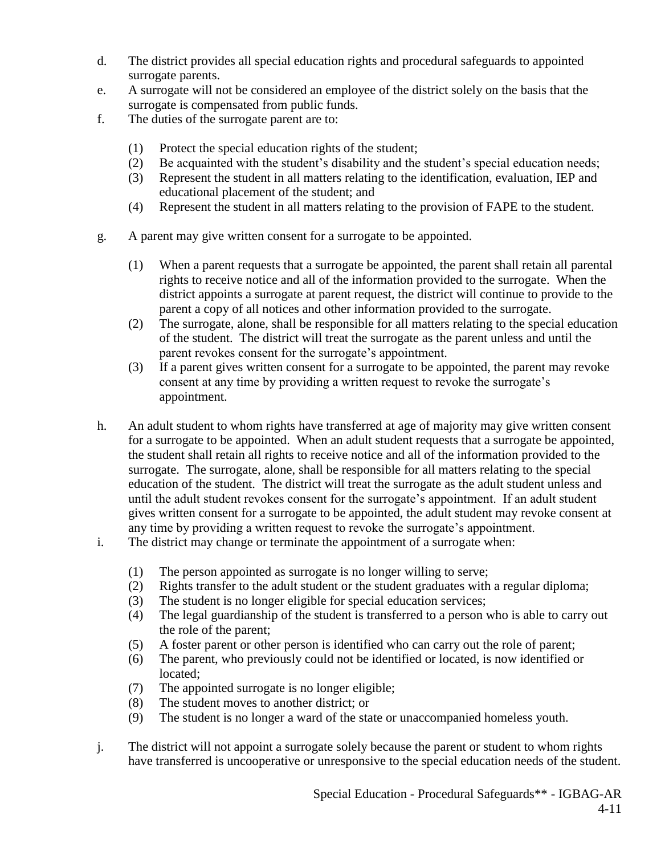- d. The district provides all special education rights and procedural safeguards to appointed surrogate parents.
- e. A surrogate will not be considered an employee of the district solely on the basis that the surrogate is compensated from public funds.
- f. The duties of the surrogate parent are to:
	- (1) Protect the special education rights of the student;
	- (2) Be acquainted with the student's disability and the student's special education needs;
	- (3) Represent the student in all matters relating to the identification, evaluation, IEP and educational placement of the student; and
	- (4) Represent the student in all matters relating to the provision of FAPE to the student.
- g. A parent may give written consent for a surrogate to be appointed.
	- (1) When a parent requests that a surrogate be appointed, the parent shall retain all parental rights to receive notice and all of the information provided to the surrogate. When the district appoints a surrogate at parent request, the district will continue to provide to the parent a copy of all notices and other information provided to the surrogate.
	- (2) The surrogate, alone, shall be responsible for all matters relating to the special education of the student. The district will treat the surrogate as the parent unless and until the parent revokes consent for the surrogate's appointment.
	- (3) If a parent gives written consent for a surrogate to be appointed, the parent may revoke consent at any time by providing a written request to revoke the surrogate's appointment.
- h. An adult student to whom rights have transferred at age of majority may give written consent for a surrogate to be appointed. When an adult student requests that a surrogate be appointed, the student shall retain all rights to receive notice and all of the information provided to the surrogate. The surrogate, alone, shall be responsible for all matters relating to the special education of the student. The district will treat the surrogate as the adult student unless and until the adult student revokes consent for the surrogate's appointment. If an adult student gives written consent for a surrogate to be appointed, the adult student may revoke consent at any time by providing a written request to revoke the surrogate's appointment.
- i. The district may change or terminate the appointment of a surrogate when:
	- (1) The person appointed as surrogate is no longer willing to serve;
	- (2) Rights transfer to the adult student or the student graduates with a regular diploma;
	- (3) The student is no longer eligible for special education services;
	- (4) The legal guardianship of the student is transferred to a person who is able to carry out the role of the parent;
	- (5) A foster parent or other person is identified who can carry out the role of parent;
	- (6) The parent, who previously could not be identified or located, is now identified or located;
	- (7) The appointed surrogate is no longer eligible;
	- (8) The student moves to another district; or
	- (9) The student is no longer a ward of the state or unaccompanied homeless youth.
- j. The district will not appoint a surrogate solely because the parent or student to whom rights have transferred is uncooperative or unresponsive to the special education needs of the student.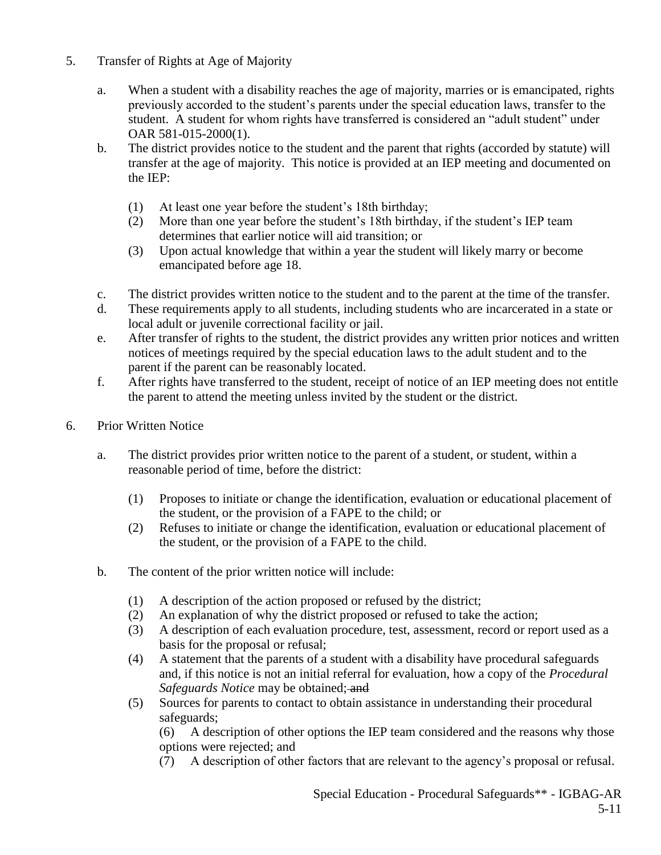- 5. Transfer of Rights at Age of Majority
	- a. When a student with a disability reaches the age of majority, marries or is emancipated, rights previously accorded to the student's parents under the special education laws, transfer to the student. A student for whom rights have transferred is considered an "adult student" under OAR 581-015-2000(1).
	- b. The district provides notice to the student and the parent that rights (accorded by statute) will transfer at the age of majority. This notice is provided at an IEP meeting and documented on the IEP:
		- (1) At least one year before the student's 18th birthday;
		- (2) More than one year before the student's 18th birthday, if the student's IEP team determines that earlier notice will aid transition; or
		- (3) Upon actual knowledge that within a year the student will likely marry or become emancipated before age 18.
	- c. The district provides written notice to the student and to the parent at the time of the transfer.
	- d. These requirements apply to all students, including students who are incarcerated in a state or local adult or juvenile correctional facility or jail.
	- e. After transfer of rights to the student, the district provides any written prior notices and written notices of meetings required by the special education laws to the adult student and to the parent if the parent can be reasonably located.
	- f. After rights have transferred to the student, receipt of notice of an IEP meeting does not entitle the parent to attend the meeting unless invited by the student or the district.
- 6. Prior Written Notice
	- a. The district provides prior written notice to the parent of a student, or student, within a reasonable period of time, before the district:
		- (1) Proposes to initiate or change the identification, evaluation or educational placement of the student, or the provision of a FAPE to the child; or
		- (2) Refuses to initiate or change the identification, evaluation or educational placement of the student, or the provision of a FAPE to the child.
	- b. The content of the prior written notice will include:
		- (1) A description of the action proposed or refused by the district;
		- (2) An explanation of why the district proposed or refused to take the action;
		- (3) A description of each evaluation procedure, test, assessment, record or report used as a basis for the proposal or refusal;
		- (4) A statement that the parents of a student with a disability have procedural safeguards and, if this notice is not an initial referral for evaluation, how a copy of the *Procedural Safeguards Notice* may be obtained; and
		- (5) Sources for parents to contact to obtain assistance in understanding their procedural safeguards;

(6) A description of other options the IEP team considered and the reasons why those options were rejected; and

(7) A description of other factors that are relevant to the agency's proposal or refusal.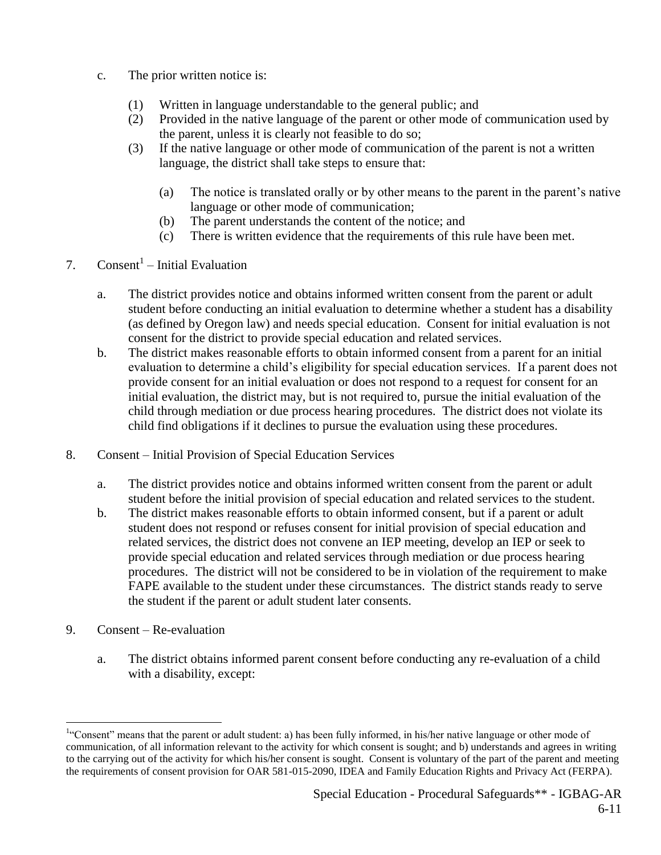- c. The prior written notice is:
	- (1) Written in language understandable to the general public; and
	- (2) Provided in the native language of the parent or other mode of communication used by the parent, unless it is clearly not feasible to do so;
	- (3) If the native language or other mode of communication of the parent is not a written language, the district shall take steps to ensure that:
		- (a) The notice is translated orally or by other means to the parent in the parent's native language or other mode of communication;
		- (b) The parent understands the content of the notice; and
		- (c) There is written evidence that the requirements of this rule have been met.
- 7. Consent<sup>1</sup> Initial Evaluation
	- a. The district provides notice and obtains informed written consent from the parent or adult student before conducting an initial evaluation to determine whether a student has a disability (as defined by Oregon law) and needs special education. Consent for initial evaluation is not consent for the district to provide special education and related services.
	- b. The district makes reasonable efforts to obtain informed consent from a parent for an initial evaluation to determine a child's eligibility for special education services. If a parent does not provide consent for an initial evaluation or does not respond to a request for consent for an initial evaluation, the district may, but is not required to, pursue the initial evaluation of the child through mediation or due process hearing procedures. The district does not violate its child find obligations if it declines to pursue the evaluation using these procedures.
- 8. Consent Initial Provision of Special Education Services
	- a. The district provides notice and obtains informed written consent from the parent or adult student before the initial provision of special education and related services to the student.
	- b. The district makes reasonable efforts to obtain informed consent, but if a parent or adult student does not respond or refuses consent for initial provision of special education and related services, the district does not convene an IEP meeting, develop an IEP or seek to provide special education and related services through mediation or due process hearing procedures. The district will not be considered to be in violation of the requirement to make FAPE available to the student under these circumstances. The district stands ready to serve the student if the parent or adult student later consents.
- 9. Consent Re-evaluation

 $\overline{a}$ 

a. The district obtains informed parent consent before conducting any re-evaluation of a child with a disability, except:

<sup>&</sup>lt;sup>1.</sup> Consent" means that the parent or adult student: a) has been fully informed, in his/her native language or other mode of communication, of all information relevant to the activity for which consent is sought; and b) understands and agrees in writing to the carrying out of the activity for which his/her consent is sought. Consent is voluntary of the part of the parent and meeting the requirements of consent provision for OAR 581-015-2090, IDEA and Family Education Rights and Privacy Act (FERPA).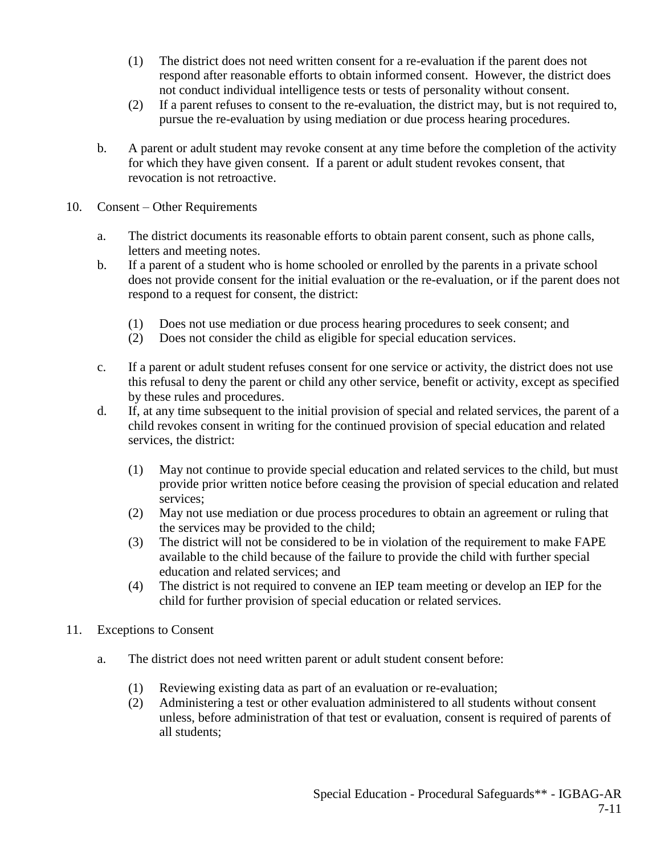- (1) The district does not need written consent for a re-evaluation if the parent does not respond after reasonable efforts to obtain informed consent. However, the district does not conduct individual intelligence tests or tests of personality without consent.
- (2) If a parent refuses to consent to the re-evaluation, the district may, but is not required to, pursue the re-evaluation by using mediation or due process hearing procedures.
- b. A parent or adult student may revoke consent at any time before the completion of the activity for which they have given consent. If a parent or adult student revokes consent, that revocation is not retroactive.
- 10. Consent Other Requirements
	- a. The district documents its reasonable efforts to obtain parent consent, such as phone calls, letters and meeting notes.
	- b. If a parent of a student who is home schooled or enrolled by the parents in a private school does not provide consent for the initial evaluation or the re-evaluation, or if the parent does not respond to a request for consent, the district:
		- (1) Does not use mediation or due process hearing procedures to seek consent; and
		- (2) Does not consider the child as eligible for special education services.
	- c. If a parent or adult student refuses consent for one service or activity, the district does not use this refusal to deny the parent or child any other service, benefit or activity, except as specified by these rules and procedures.
	- d. If, at any time subsequent to the initial provision of special and related services, the parent of a child revokes consent in writing for the continued provision of special education and related services, the district:
		- (1) May not continue to provide special education and related services to the child, but must provide prior written notice before ceasing the provision of special education and related services;
		- (2) May not use mediation or due process procedures to obtain an agreement or ruling that the services may be provided to the child;
		- (3) The district will not be considered to be in violation of the requirement to make FAPE available to the child because of the failure to provide the child with further special education and related services; and
		- (4) The district is not required to convene an IEP team meeting or develop an IEP for the child for further provision of special education or related services.
- 11. Exceptions to Consent
	- a. The district does not need written parent or adult student consent before:
		- (1) Reviewing existing data as part of an evaluation or re-evaluation;
		- (2) Administering a test or other evaluation administered to all students without consent unless, before administration of that test or evaluation, consent is required of parents of all students;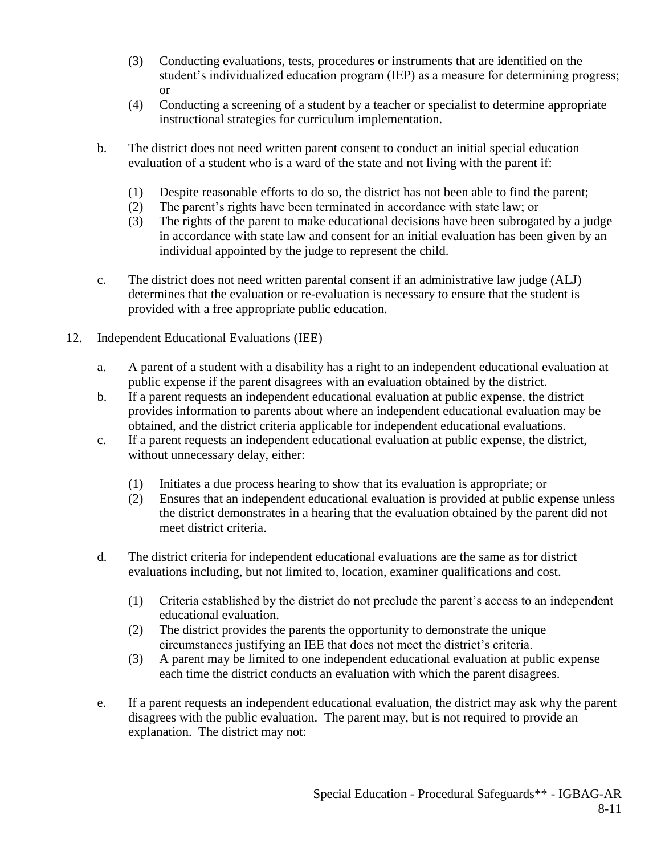- (3) Conducting evaluations, tests, procedures or instruments that are identified on the student's individualized education program (IEP) as a measure for determining progress; or
- (4) Conducting a screening of a student by a teacher or specialist to determine appropriate instructional strategies for curriculum implementation.
- b. The district does not need written parent consent to conduct an initial special education evaluation of a student who is a ward of the state and not living with the parent if:
	- (1) Despite reasonable efforts to do so, the district has not been able to find the parent;
	- (2) The parent's rights have been terminated in accordance with state law; or
	- (3) The rights of the parent to make educational decisions have been subrogated by a judge in accordance with state law and consent for an initial evaluation has been given by an individual appointed by the judge to represent the child.
- c. The district does not need written parental consent if an administrative law judge (ALJ) determines that the evaluation or re-evaluation is necessary to ensure that the student is provided with a free appropriate public education.
- 12. Independent Educational Evaluations (IEE)
	- a. A parent of a student with a disability has a right to an independent educational evaluation at public expense if the parent disagrees with an evaluation obtained by the district.
	- b. If a parent requests an independent educational evaluation at public expense, the district provides information to parents about where an independent educational evaluation may be obtained, and the district criteria applicable for independent educational evaluations.
	- c. If a parent requests an independent educational evaluation at public expense, the district, without unnecessary delay, either:
		- (1) Initiates a due process hearing to show that its evaluation is appropriate; or
		- (2) Ensures that an independent educational evaluation is provided at public expense unless the district demonstrates in a hearing that the evaluation obtained by the parent did not meet district criteria.
	- d. The district criteria for independent educational evaluations are the same as for district evaluations including, but not limited to, location, examiner qualifications and cost.
		- (1) Criteria established by the district do not preclude the parent's access to an independent educational evaluation.
		- (2) The district provides the parents the opportunity to demonstrate the unique circumstances justifying an IEE that does not meet the district's criteria.
		- (3) A parent may be limited to one independent educational evaluation at public expense each time the district conducts an evaluation with which the parent disagrees.
	- e. If a parent requests an independent educational evaluation, the district may ask why the parent disagrees with the public evaluation. The parent may, but is not required to provide an explanation. The district may not: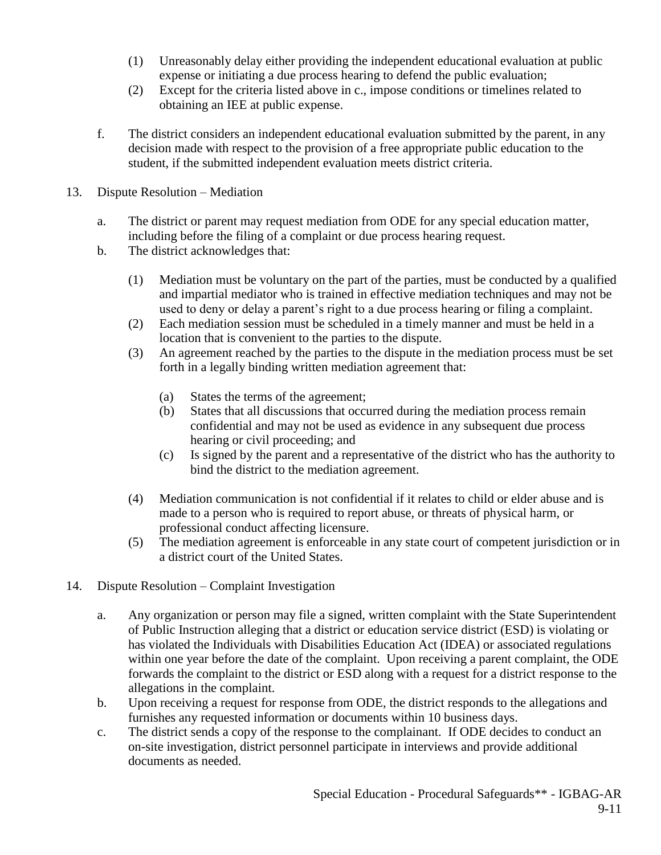- (1) Unreasonably delay either providing the independent educational evaluation at public expense or initiating a due process hearing to defend the public evaluation;
- (2) Except for the criteria listed above in c., impose conditions or timelines related to obtaining an IEE at public expense.
- f. The district considers an independent educational evaluation submitted by the parent, in any decision made with respect to the provision of a free appropriate public education to the student, if the submitted independent evaluation meets district criteria.
- 13. Dispute Resolution Mediation
	- a. The district or parent may request mediation from ODE for any special education matter, including before the filing of a complaint or due process hearing request.
	- b. The district acknowledges that:
		- (1) Mediation must be voluntary on the part of the parties, must be conducted by a qualified and impartial mediator who is trained in effective mediation techniques and may not be used to deny or delay a parent's right to a due process hearing or filing a complaint.
		- (2) Each mediation session must be scheduled in a timely manner and must be held in a location that is convenient to the parties to the dispute.
		- (3) An agreement reached by the parties to the dispute in the mediation process must be set forth in a legally binding written mediation agreement that:
			- (a) States the terms of the agreement;
			- (b) States that all discussions that occurred during the mediation process remain confidential and may not be used as evidence in any subsequent due process hearing or civil proceeding; and
			- (c) Is signed by the parent and a representative of the district who has the authority to bind the district to the mediation agreement.
		- (4) Mediation communication is not confidential if it relates to child or elder abuse and is made to a person who is required to report abuse, or threats of physical harm, or professional conduct affecting licensure.
		- (5) The mediation agreement is enforceable in any state court of competent jurisdiction or in a district court of the United States.
- 14. Dispute Resolution Complaint Investigation
	- a. Any organization or person may file a signed, written complaint with the State Superintendent of Public Instruction alleging that a district or education service district (ESD) is violating or has violated the Individuals with Disabilities Education Act (IDEA) or associated regulations within one year before the date of the complaint. Upon receiving a parent complaint, the ODE forwards the complaint to the district or ESD along with a request for a district response to the allegations in the complaint.
	- b. Upon receiving a request for response from ODE, the district responds to the allegations and furnishes any requested information or documents within 10 business days.
	- c. The district sends a copy of the response to the complainant. If ODE decides to conduct an on-site investigation, district personnel participate in interviews and provide additional documents as needed.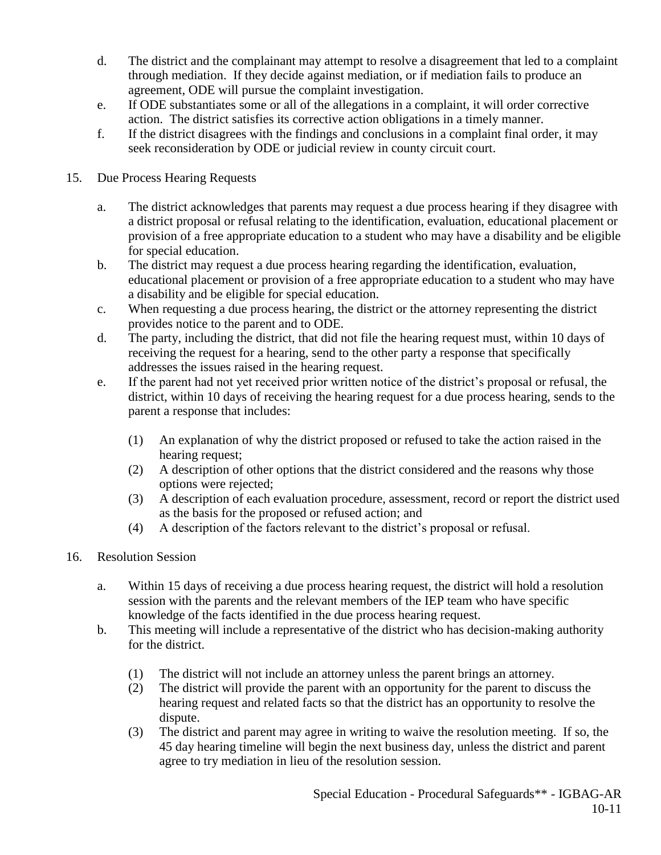- d. The district and the complainant may attempt to resolve a disagreement that led to a complaint through mediation. If they decide against mediation, or if mediation fails to produce an agreement, ODE will pursue the complaint investigation.
- e. If ODE substantiates some or all of the allegations in a complaint, it will order corrective action. The district satisfies its corrective action obligations in a timely manner.
- f. If the district disagrees with the findings and conclusions in a complaint final order, it may seek reconsideration by ODE or judicial review in county circuit court.
- 15. Due Process Hearing Requests
	- a. The district acknowledges that parents may request a due process hearing if they disagree with a district proposal or refusal relating to the identification, evaluation, educational placement or provision of a free appropriate education to a student who may have a disability and be eligible for special education.
	- b. The district may request a due process hearing regarding the identification, evaluation, educational placement or provision of a free appropriate education to a student who may have a disability and be eligible for special education.
	- c. When requesting a due process hearing, the district or the attorney representing the district provides notice to the parent and to ODE.
	- d. The party, including the district, that did not file the hearing request must, within 10 days of receiving the request for a hearing, send to the other party a response that specifically addresses the issues raised in the hearing request.
	- e. If the parent had not yet received prior written notice of the district's proposal or refusal, the district, within 10 days of receiving the hearing request for a due process hearing, sends to the parent a response that includes:
		- (1) An explanation of why the district proposed or refused to take the action raised in the hearing request;
		- (2) A description of other options that the district considered and the reasons why those options were rejected;
		- (3) A description of each evaluation procedure, assessment, record or report the district used as the basis for the proposed or refused action; and
		- (4) A description of the factors relevant to the district's proposal or refusal.
- 16. Resolution Session
	- a. Within 15 days of receiving a due process hearing request, the district will hold a resolution session with the parents and the relevant members of the IEP team who have specific knowledge of the facts identified in the due process hearing request.
	- b. This meeting will include a representative of the district who has decision-making authority for the district.
		- (1) The district will not include an attorney unless the parent brings an attorney.
		- (2) The district will provide the parent with an opportunity for the parent to discuss the hearing request and related facts so that the district has an opportunity to resolve the dispute.
		- (3) The district and parent may agree in writing to waive the resolution meeting. If so, the 45 day hearing timeline will begin the next business day, unless the district and parent agree to try mediation in lieu of the resolution session.